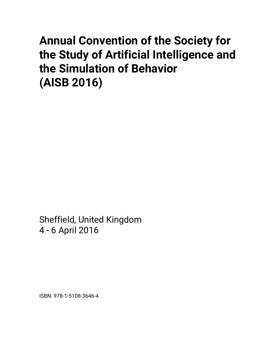# **Annual Convention of the Society for the Study of Artificial Intelligence and the Simulation of Behavior (AISB 2016)**

Sheffield, United Kingdom 4 - 6 April 2016

ISBN: 978-1-5108-3646-4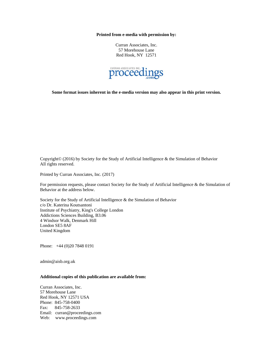**Printed from e-media with permission by:** 

Curran Associates, Inc. 57 Morehouse Lane Red Hook, NY 12571



**Some format issues inherent in the e-media version may also appear in this print version.** 

Copyright© (2016) by Society for the Study of Artificial Intelligence & the Simulation of Behavior All rights reserved.

Printed by Curran Associates, Inc. (2017)

For permission requests, please contact Society for the Study of Artificial Intelligence & the Simulation of Behavior at the address below.

Society for the Study of Artificial Intelligence & the Simulation of Behavior c/o Dr. Katerina Koutsantoni Institute of Psychiatry, King's College London Addictions Sciences Building, B3.06 4 Windsor Walk, Denmark Hill London SE5 8AF United Kingdom

Phone: +44 (0)20 7848 0191

admin@aisb.org.uk

#### **Additional copies of this publication are available from:**

Curran Associates, Inc. 57 Morehouse Lane Red Hook, NY 12571 USA Phone: 845-758-0400 Fax: 845-758-2633 Email: curran@proceedings.com Web: www.proceedings.com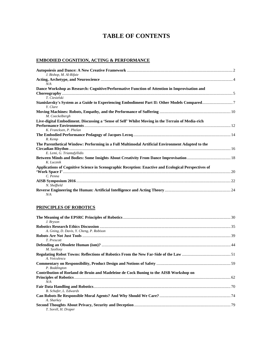## **TABLE OF CONTENTS**

## **EMBODIED COGNITION, ACTING & PERFORMANCE**

| J. Bishop, M. Al-Rifaie                                                                                 |  |
|---------------------------------------------------------------------------------------------------------|--|
|                                                                                                         |  |
| N/A                                                                                                     |  |
| Dance Workshop as Research: Cognitive/Performative Function of Attention in Improvisation and           |  |
|                                                                                                         |  |
| T. Ciesielski                                                                                           |  |
| Stanislavsky's System as a Guide to Experiencing Embodiment Part II: Other Models Compared7<br>Y. Clare |  |
|                                                                                                         |  |
| M. Coeckelbergh                                                                                         |  |
| Live-digital Embodiment. Discussing a 'Sense of Self' Whilst Moving in the Terrain of Media-rich        |  |
|                                                                                                         |  |
| K. Francksen, P. Phelan                                                                                 |  |
|                                                                                                         |  |
| R. Kemp                                                                                                 |  |
| The Parenthetical Window: Performing in a Full Multimodal Artificial Environment Adapted to the         |  |
|                                                                                                         |  |
| E. Lemi, G. Triantafyllidis                                                                             |  |
|                                                                                                         |  |
| K. Lucznik                                                                                              |  |
| Applications of Cognitive Science in Scenographic Reception: Enactive and Ecological Perspectives of    |  |
|                                                                                                         |  |
| C. Penna                                                                                                |  |
|                                                                                                         |  |
| N. Sheffield                                                                                            |  |
|                                                                                                         |  |
| N/A                                                                                                     |  |

#### **PRINCIPLES OF ROBOTICS**

| J. Bryson                                                                                    |  |
|----------------------------------------------------------------------------------------------|--|
| A. Gning, D. Davis, Y. Cheng, P. Robison                                                     |  |
| T. Prescott                                                                                  |  |
| M. Szollosy                                                                                  |  |
| A. Voiculescu                                                                                |  |
| P. Boddington                                                                                |  |
| Contribution of Roeland de Bruin and Madeleine de Cock Buning to the AISB Workshop on<br>N/A |  |
| B. Schafer, L. Edwards                                                                       |  |
| A. Sharkey                                                                                   |  |
| T. Sorell, H. Draper                                                                         |  |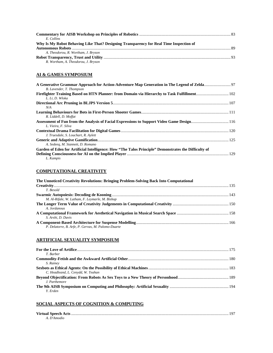| E. Collins                                                                             |  |
|----------------------------------------------------------------------------------------|--|
| Why Is My Robot Behaving Like That? Designing Transparency for Real Time Inspection of |  |
|                                                                                        |  |
| A. Theodorou, R. Wortham, J. Bryson                                                    |  |
|                                                                                        |  |
| R. Wortham, A. Theodorou, J. Bryson                                                    |  |

## **AI & GAMES SYMPOSIUM**

| B. Lavender, T. Thompson                                                                             |  |
|------------------------------------------------------------------------------------------------------|--|
|                                                                                                      |  |
| L. Li, D. Wloka                                                                                      |  |
| N/A                                                                                                  |  |
|                                                                                                      |  |
| R. Liddell, D. Moffat                                                                                |  |
| L. Vieira. F. Silva                                                                                  |  |
|                                                                                                      |  |
| J. Truesdale, S. Louchart, R. Aylett                                                                 |  |
|                                                                                                      |  |
| A. Sedeeg, M. Stannett, D. Romano                                                                    |  |
| Garden of Eden for Artificial Intelligence: How "The Talos Principle" Demonstrates the Difficulty of |  |
|                                                                                                      |  |
| L. Kampis                                                                                            |  |

#### **COMPUTATIONAL CREATIVITY**

| The Unnoticed Creativity Revolutions: Bringing Problem-Solving Back Into Computational |  |
|----------------------------------------------------------------------------------------|--|
|                                                                                        |  |
| T. Besold                                                                              |  |
|                                                                                        |  |
| M. Al-Rifale, W. Latham, F. Leymarle, M. Bishop                                        |  |
|                                                                                        |  |
| A. Jordanous                                                                           |  |
|                                                                                        |  |
| S. Arshi, D. Davis                                                                     |  |
|                                                                                        |  |
| P. Delatorre, B. Arfe, P. Gervas, M. Palomo-Duarte                                     |  |

## **ARTIFICIAL SEXUALITY SYMPOSIUM**

| T. Barber                          |  |
|------------------------------------|--|
|                                    |  |
| S. Rainey                          |  |
|                                    |  |
| C. Headleand, L. Cenydd, W. Teahan |  |
|                                    |  |
| J. Parthemore                      |  |
|                                    |  |
| Y. Erden                           |  |

### **SOCIAL ASPECTS OF COGNITION & COMPUTING**

| A. D'Amodio |  |
|-------------|--|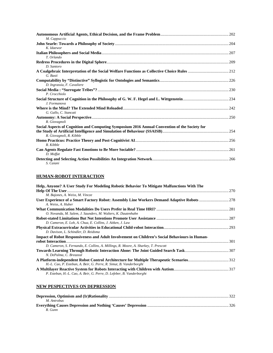| M. Cappuccio                                                                                                   |  |
|----------------------------------------------------------------------------------------------------------------|--|
|                                                                                                                |  |
| K. Idaewor                                                                                                     |  |
| T. Orlando                                                                                                     |  |
|                                                                                                                |  |
| D. Santoro                                                                                                     |  |
| G. Basti                                                                                                       |  |
|                                                                                                                |  |
| D. Ingrassia, F. Cavaliere                                                                                     |  |
| P. Crocchiolo                                                                                                  |  |
| J. Formanova                                                                                                   |  |
| G. Gallo, C. Stancati                                                                                          |  |
|                                                                                                                |  |
| R. Giovagnoli<br>Social Aspects of Cognition and Computing Symposium 2016 Annual Convention of the Society for |  |
| R. Giovagnoli, R. Kibble                                                                                       |  |
| R. Kibble                                                                                                      |  |
| D. Moffat                                                                                                      |  |
| S. Caiani                                                                                                      |  |

## **HUMAN-ROBOT INTERACTION**

| Help, Anyone? A User Study For Modeling Robotic Behavior To Mitigate Malfunctions With The     |  |
|------------------------------------------------------------------------------------------------|--|
|                                                                                                |  |
| M. Bajones, A. Weiss, M. Vincze                                                                |  |
|                                                                                                |  |
| A. Weiss, A. Huber                                                                             |  |
|                                                                                                |  |
| O. Novanda, M. Salem, J. Saunders, M. Walters, K. Dautenhahn                                   |  |
|                                                                                                |  |
| D. Cameron, E. Loh, A. Chua, E. Collins, J. Aitken, J. Law                                     |  |
|                                                                                                |  |
| D. Davison, L. Schindler, D. Reidsma                                                           |  |
| Impact of Robot Responsiveness and Adult Involvement on Children's Social Behaviours in Human- |  |
|                                                                                                |  |
| D. Cameron, S. Fernando, E. Collins, A. Millings, R. Moore, A. Sharkey, T. Prescott            |  |
|                                                                                                |  |
| N. DePalma, C. Breazeal                                                                        |  |
|                                                                                                |  |
| H.-L. Cao, P. Esteban, A. Beir, G. Perre, R. Simut, B. Vanderborght                            |  |
|                                                                                                |  |
| P. Esteban, H.-L. Cao, A. Beir, G. Perre, D. Lefeber, B. Vanderborght                          |  |

## **NEW PESPECTIVES ON DEPRESSION**

| M. Antrobus |  |
|-------------|--|
|             |  |
| R. Gunn     |  |